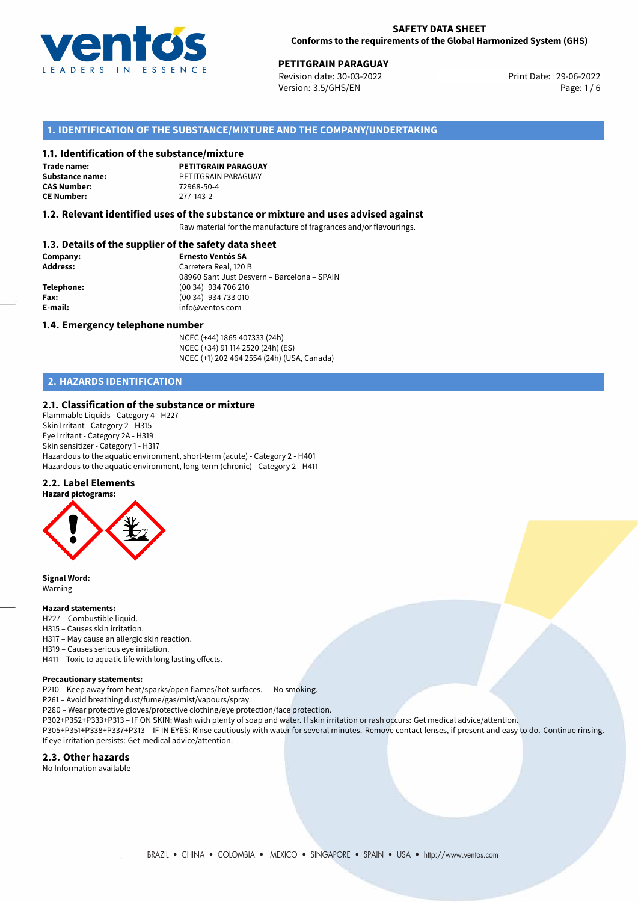

29-06-2022 **PETITGRAIN PARAGUAY** Revision date: 30-03-2022 Print Date: Version: 3.5/GHS/EN Page: 1/6

## **1. IDENTIFICATION OF THE SUBSTANCE/MIXTURE AND THE COMPANY/UNDERTAKING**

#### **1.1. Identification of the substance/mixture**

**Trade name: CAS Number: CE Number:** 277-143-2

**PETITGRAIN PARAGUAY Substance name:** PETITGRAIN PARAGUAY<br> **CAS Number:** 72968-50-4

#### **1.2. Relevant identified uses of the substance or mixture and uses advised against**

Raw material for the manufacture of fragrances and/or flavourings.

## **1.3. Details of the supplier of the safety data sheet**

| Company:        | <b>Ernesto Ventós SA</b>                    |
|-----------------|---------------------------------------------|
| <b>Address:</b> | Carretera Real, 120 B                       |
|                 | 08960 Sant Just Desvern - Barcelona - SPAIN |
| Telephone:      | (00 34) 934 706 210                         |
| Fax:            | (00 34) 934 733 010                         |
| E-mail:         | info@ventos.com                             |
|                 |                                             |

#### **1.4. Emergency telephone number**

NCEC (+44) 1865 407333 (24h) NCEC (+34) 91 114 2520 (24h) (ES) NCEC (+1) 202 464 2554 (24h) (USA, Canada)

# **2. HAZARDS IDENTIFICATION**

#### **2.1. Classification of the substance or mixture**

Flammable Liquids - Category 4 - H227 Skin Irritant - Category 2 - H315 Eye Irritant - Category 2A - H319 Skin sensitizer - Category 1 - H317 Hazardous to the aquatic environment, short-term (acute) - Category 2 - H401 Hazardous to the aquatic environment, long-term (chronic) - Category 2 - H411

#### **2.2. Label Elements**



**Signal Word:** Warning

#### **Hazard statements:**

- H227 Combustible liquid.
- H315 Causes skin irritation.
- H317 May cause an allergic skin reaction.
- H319 Causes serious eye irritation.

H411 – Toxic to aquatic life with long lasting effects.

#### **Precautionary statements:**

P210 – Keep away from heat/sparks/open flames/hot surfaces. — No smoking.

P261 – Avoid breathing dust/fume/gas/mist/vapours/spray.

- P280 Wear protective gloves/protective clothing/eye protection/face protection.
- P302+P352+P333+P313 IF ON SKIN: Wash with plenty of soap and water. If skin irritation or rash occurs: Get medical advice/attention.

P305+P351+P338+P337+P313 – IF IN EYES: Rinse cautiously with water for several minutes. Remove contact lenses, if present and easy to do. Continue rinsing. If eye irritation persists: Get medical advice/attention.

#### **2.3. Other hazards**

No Information available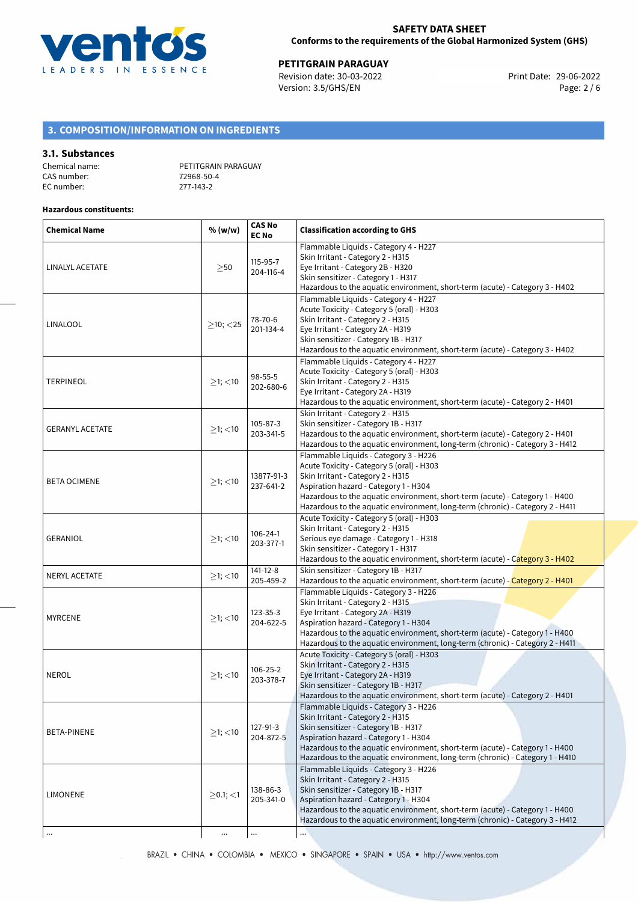

29-06-2022 **PETITGRAIN PARAGUAY** Revision date: 30-03-2022 Print Date: Version: 3.5/GHS/EN Page: 2 / 6

# **3. COMPOSITION/INFORMATION ON INGREDIENTS**

### **3.1. Substances**

| Chemical name: | PETITGRAIN PARAGUAY |
|----------------|---------------------|
| CAS number:    | 72968-50-4          |
| EC number:     | 277-143-2           |

## **Hazardous constituents:**

| <b>Chemical Name</b>   | % (w/w)          | <b>CAS No</b><br><b>EC No</b> | <b>Classification according to GHS</b>                                                                                                                                                                                                                                                                                            |
|------------------------|------------------|-------------------------------|-----------------------------------------------------------------------------------------------------------------------------------------------------------------------------------------------------------------------------------------------------------------------------------------------------------------------------------|
| LINALYL ACETATE        | $\geq$ 50        | 115-95-7<br>204-116-4         | Flammable Liquids - Category 4 - H227<br>Skin Irritant - Category 2 - H315<br>Eye Irritant - Category 2B - H320<br>Skin sensitizer - Category 1 - H317<br>Hazardous to the aquatic environment, short-term (acute) - Category 3 - H402                                                                                            |
| LINALOOL               | $\geq$ 10; <25   | 78-70-6<br>201-134-4          | Flammable Liquids - Category 4 - H227<br>Acute Toxicity - Category 5 (oral) - H303<br>Skin Irritant - Category 2 - H315<br>Eye Irritant - Category 2A - H319<br>Skin sensitizer - Category 1B - H317<br>Hazardous to the aquatic environment, short-term (acute) - Category 3 - H402                                              |
| <b>TERPINEOL</b>       | $\geq$ 1; $<$ 10 | 98-55-5<br>202-680-6          | Flammable Liquids - Category 4 - H227<br>Acute Toxicity - Category 5 (oral) - H303<br>Skin Irritant - Category 2 - H315<br>Eye Irritant - Category 2A - H319<br>Hazardous to the aquatic environment, short-term (acute) - Category 2 - H401                                                                                      |
| <b>GERANYL ACETATE</b> | $≥1;$ < 10       | $105 - 87 - 3$<br>203-341-5   | Skin Irritant - Category 2 - H315<br>Skin sensitizer - Category 1B - H317<br>Hazardous to the aquatic environment, short-term (acute) - Category 2 - H401<br>Hazardous to the aquatic environment, long-term (chronic) - Category 3 - H412                                                                                        |
| <b>BETA OCIMENE</b>    | $\geq$ 1; <10    | 13877-91-3<br>237-641-2       | Flammable Liquids - Category 3 - H226<br>Acute Toxicity - Category 5 (oral) - H303<br>Skin Irritant - Category 2 - H315<br>Aspiration hazard - Category 1 - H304<br>Hazardous to the aquatic environment, short-term (acute) - Category 1 - H400<br>Hazardous to the aquatic environment, long-term (chronic) - Category 2 - H411 |
| <b>GERANIOL</b>        | $\geq$ 1; $<$ 10 | 106-24-1<br>203-377-1         | Acute Toxicity - Category 5 (oral) - H303<br>Skin Irritant - Category 2 - H315<br>Serious eye damage - Category 1 - H318<br>Skin sensitizer - Category 1 - H317<br>Hazardous to the aquatic environment, short-term (acute) - Category 3 - H402                                                                                   |
| <b>NERYL ACETATE</b>   | $≥1;$ < 10       | $141 - 12 - 8$<br>205-459-2   | Skin sensitizer - Category 1B - H317<br>Hazardous to the aquatic environment, short-term (acute) - Category 2 - H401                                                                                                                                                                                                              |
| <b>MYRCENE</b>         | $\geq$ 1; <10    | 123-35-3<br>204-622-5         | Flammable Liquids - Category 3 - H226<br>Skin Irritant - Category 2 - H315<br>Eye Irritant - Category 2A - H319<br>Aspiration hazard - Category 1 - H304<br>Hazardous to the aquatic environment, short-term (acute) - Category 1 - H400<br>Hazardous to the aquatic environment, long-term (chronic) - Category 2 - H411         |
| <b>NEROL</b>           | $≥1;$ < 10       | 106-25-2<br>203-378-7         | Acute Toxicity - Category 5 (oral) - H303<br>Skin Irritant - Category 2 - H315<br>Eye Irritant - Category 2A - H319<br>Skin sensitizer - Category 1B - H317<br>Hazardous to the aquatic environment, short-term (acute) - Category 2 - H401                                                                                       |
| BETA-PINENE            | $\geq$ 1; <10    | 127-91-3<br>204-872-5         | Flammable Liquids - Category 3 - H226<br>Skin Irritant - Category 2 - H315<br>Skin sensitizer - Category 1B - H317<br>Aspiration hazard - Category 1 - H304<br>Hazardous to the aquatic environment, short-term (acute) - Category 1 - H400<br>Hazardous to the aquatic environment, long-term (chronic) - Category 1 - H410      |
| <b>LIMONENE</b>        | $\geq$ 0.1; <1   | 138-86-3<br>205-341-0         | Flammable Liquids - Category 3 - H226<br>Skin Irritant - Category 2 - H315<br>Skin sensitizer - Category 1B - H317<br>Aspiration hazard - Category 1 - H304<br>Hazardous to the aquatic environment, short-term (acute) - Category 1 - H400<br>Hazardous to the aquatic environment, long-term (chronic) - Category 3 - H412      |
|                        | $\cdots$         |                               |                                                                                                                                                                                                                                                                                                                                   |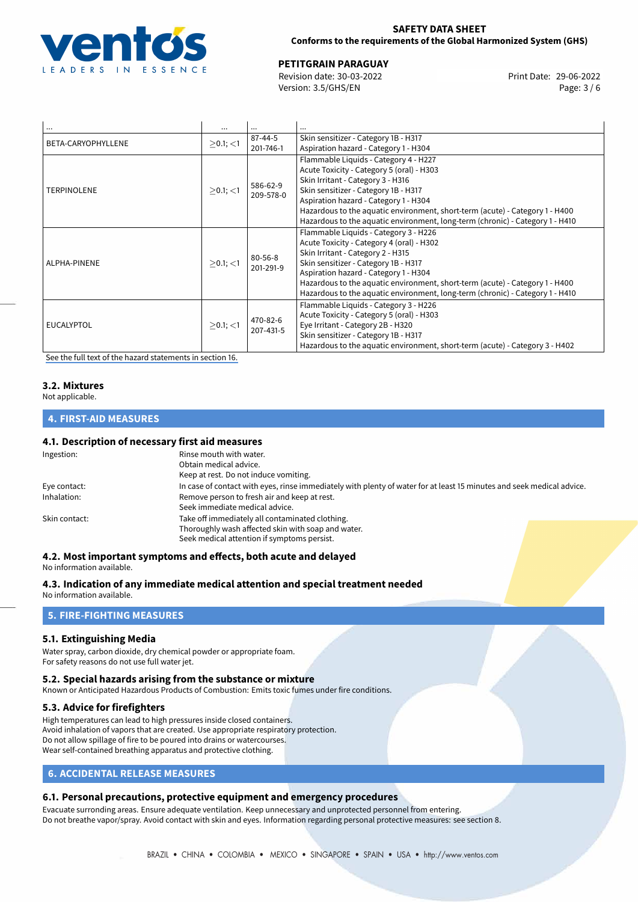

## **SAFETY DATA SHEET Conforms to the requirements of the Global Harmonized System (GHS)**

29-06-2022 **PETITGRAIN PARAGUAY** Revision date: 30-03-2022 Print Date:

Version: 3.5/GHS/EN Page: 3 / 6

| $\cdots$           | $\cdots$        | $\cdots$                   | $\cdots$                                                                                                                                                                                                                                                                                                                                                                  |
|--------------------|-----------------|----------------------------|---------------------------------------------------------------------------------------------------------------------------------------------------------------------------------------------------------------------------------------------------------------------------------------------------------------------------------------------------------------------------|
| BETA-CARYOPHYLLENE |                 | $87 - 44 - 5$              | Skin sensitizer - Category 1B - H317                                                                                                                                                                                                                                                                                                                                      |
|                    | $>0.1$ ; $<$ 1  | 201-746-1                  | Aspiration hazard - Category 1 - H304                                                                                                                                                                                                                                                                                                                                     |
| <b>TERPINOLENE</b> | $>0.1$ ; <1     | 586-62-9<br>209-578-0      | Flammable Liquids - Category 4 - H227<br>Acute Toxicity - Category 5 (oral) - H303<br>Skin Irritant - Category 3 - H316<br>Skin sensitizer - Category 1B - H317<br>Aspiration hazard - Category 1 - H304<br>Hazardous to the aquatic environment, short-term (acute) - Category 1 - H400<br>Hazardous to the aquatic environment, long-term (chronic) - Category 1 - H410 |
| ALPHA-PINENE       | $>0.1$ ; <1     | $80 - 56 - 8$<br>201-291-9 | Flammable Liquids - Category 3 - H226<br>Acute Toxicity - Category 4 (oral) - H302<br>Skin Irritant - Category 2 - H315<br>Skin sensitizer - Category 1B - H317<br>Aspiration hazard - Category 1 - H304<br>Hazardous to the aquatic environment, short-term (acute) - Category 1 - H400<br>Hazardous to the aquatic environment, long-term (chronic) - Category 1 - H410 |
| <b>EUCALYPTOL</b>  | $> 0.1$ ; $< 1$ | 470-82-6<br>207-431-5      | Flammable Liquids - Category 3 - H226<br>Acute Toxicity - Category 5 (oral) - H303<br>Eye Irritant - Category 2B - H320<br>Skin sensitizer - Category 1B - H317<br>Hazardous to the aquatic environment, short-term (acute) - Category 3 - H402                                                                                                                           |

[See the full text of the hazard statements in section 16.](#page-5-0)

# **3.2. Mixtures**

Not applicable.

# **4. FIRST-AID MEASURES**

## **4.1. Description of necessary first aid measures**

| Ingestion:    | Rinse mouth with water.<br>Obtain medical advice.                                                                     |
|---------------|-----------------------------------------------------------------------------------------------------------------------|
|               | Keep at rest. Do not induce vomiting.                                                                                 |
| Eye contact:  | In case of contact with eyes, rinse immediately with plenty of water for at least 15 minutes and seek medical advice. |
| Inhalation:   | Remove person to fresh air and keep at rest.                                                                          |
|               | Seek immediate medical advice.                                                                                        |
| Skin contact: | Take off immediately all contaminated clothing.                                                                       |
|               | Thoroughly wash affected skin with soap and water.                                                                    |
|               | Seek medical attention if symptoms persist.                                                                           |

## **4.2. Most important symptoms and effects, both acute and delayed**

No information available.

**4.3. Indication of any immediate medical attention and special treatment needed** No information available.

## **5. FIRE-FIGHTING MEASURES**

## **5.1. Extinguishing Media**

Water spray, carbon dioxide, dry chemical powder or appropriate foam. For safety reasons do not use full water jet.

#### **5.2. Special hazards arising from the substance or mixture**

Known or Anticipated Hazardous Products of Combustion: Emits toxic fumes under fire conditions.

## **5.3. Advice for firefighters**

High temperatures can lead to high pressures inside closed containers. Avoid inhalation of vapors that are created. Use appropriate respiratory protection. Do not allow spillage of fire to be poured into drains or watercourses. Wear self-contained breathing apparatus and protective clothing.

# **6. ACCIDENTAL RELEASE MEASURES**

## **6.1. Personal precautions, protective equipment and emergency procedures**

Evacuate surronding areas. Ensure adequate ventilation. Keep unnecessary and unprotected personnel from entering. Do not breathe vapor/spray. Avoid contact with skin and eyes. Information regarding personal protective measures: see section 8.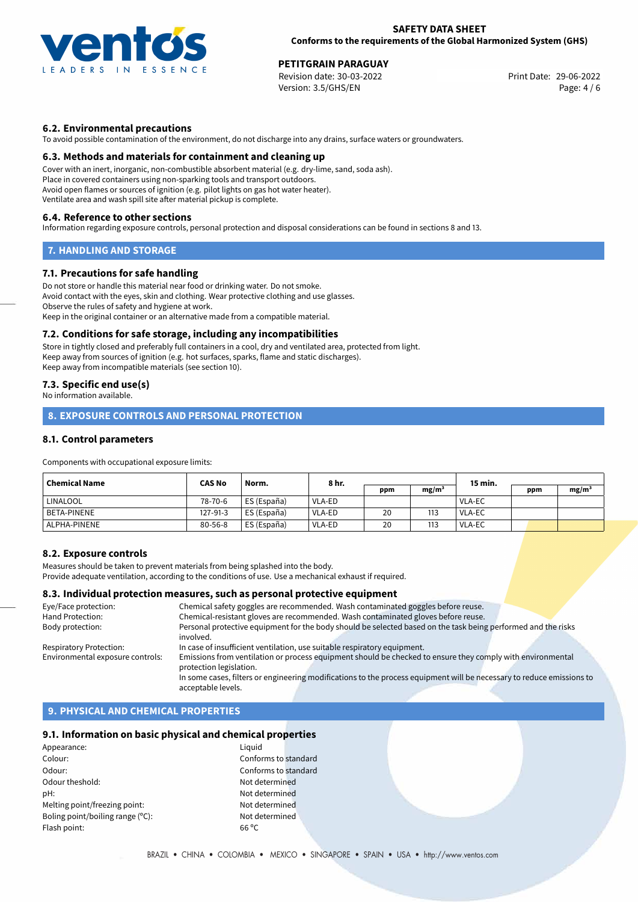

### **SAFETY DATA SHEET Conforms to the requirements of the Global Harmonized System (GHS)**

29-06-2022 **PETITGRAIN PARAGUAY** Revision date: 30-03-2022 Print Date: Version: 3.5/GHS/EN Page: 4 / 6

## **6.2. Environmental precautions**

To avoid possible contamination of the environment, do not discharge into any drains, surface waters or groundwaters.

#### **6.3. Methods and materials for containment and cleaning up**

Cover with an inert, inorganic, non-combustible absorbent material (e.g. dry-lime, sand, soda ash). Place in covered containers using non-sparking tools and transport outdoors. Avoid open flames or sources of ignition (e.g. pilot lights on gas hot water heater). Ventilate area and wash spill site after material pickup is complete.

#### **6.4. Reference to other sections**

Information regarding exposure controls, personal protection and disposal considerations can be found in sections 8 and 13.

## **7. HANDLING AND STORAGE**

### **7.1. Precautions for safe handling**

Do not store or handle this material near food or drinking water. Do not smoke. Avoid contact with the eyes, skin and clothing. Wear protective clothing and use glasses. Observe the rules of safety and hygiene at work. Keep in the original container or an alternative made from a compatible material.

#### **7.2. Conditions for safe storage, including any incompatibilities**

Store in tightly closed and preferably full containers in a cool, dry and ventilated area, protected from light. Keep away from sources of ignition (e.g. hot surfaces, sparks, flame and static discharges). Keep away from incompatible materials (see section 10).

## **7.3. Specific end use(s)**

No information available.

# **8. EXPOSURE CONTROLS AND PERSONAL PROTECTION**

## **8.1. Control parameters**

Components with occupational exposure limits:

| <b>Chemical Name</b> | <b>CAS No</b> | Norm.         | 8 hr.  |     |                   | 15 min.       |     |                   |
|----------------------|---------------|---------------|--------|-----|-------------------|---------------|-----|-------------------|
|                      |               |               |        | ppm | mg/m <sup>3</sup> |               | ppm | mg/m <sup>3</sup> |
| <b>LINALOOL</b>      | 78-70-6       | ' ES (España) | VLA-ED |     |                   | VLA-EC        |     |                   |
| BETA-PINENE          | 127-91-3      | ES (España)   | VLA-ED | 20  | 113               | <b>VLA-EC</b> |     |                   |
| ALPHA-PINENE         | $80 - 56 - 8$ | ES (España)   | VLA-ED | 20  | 113               | <b>VLA-EC</b> |     |                   |

## **8.2. Exposure controls**

Measures should be taken to prevent materials from being splashed into the body. Provide adequate ventilation, according to the conditions of use. Use a mechanical exhaust if required.

## **8.3. Individual protection measures, such as personal protective equipment**

| Eye/Face protection:             | Chemical safety goggles are recommended. Wash contaminated goggles before reuse.                                      |
|----------------------------------|-----------------------------------------------------------------------------------------------------------------------|
| Hand Protection:                 | Chemical-resistant gloves are recommended. Wash contaminated gloves before reuse.                                     |
| Body protection:                 | Personal protective equipment for the body should be selected based on the task being performed and the risks         |
|                                  | involved.                                                                                                             |
| Respiratory Protection:          | In case of insufficient ventilation, use suitable respiratory equipment.                                              |
| Environmental exposure controls: | Emissions from ventilation or process equipment should be checked to ensure they comply with environmental            |
|                                  | protection legislation.                                                                                               |
|                                  | In some cases, filters or engineering modifications to the process equipment will be necessary to reduce emissions to |
|                                  | acceptable levels.                                                                                                    |

## **9. PHYSICAL AND CHEMICAL PROPERTIES**

### **9.1. Information on basic physical and chemical properties**

Appearance: Liquid Colour: Conforms to standard Odour: Conforms to standard Odour theshold: Not determined pH: Not determined Melting point/freezing point: Not determined Boling point/boiling range (°C): Not determined Flash point: 66 ºC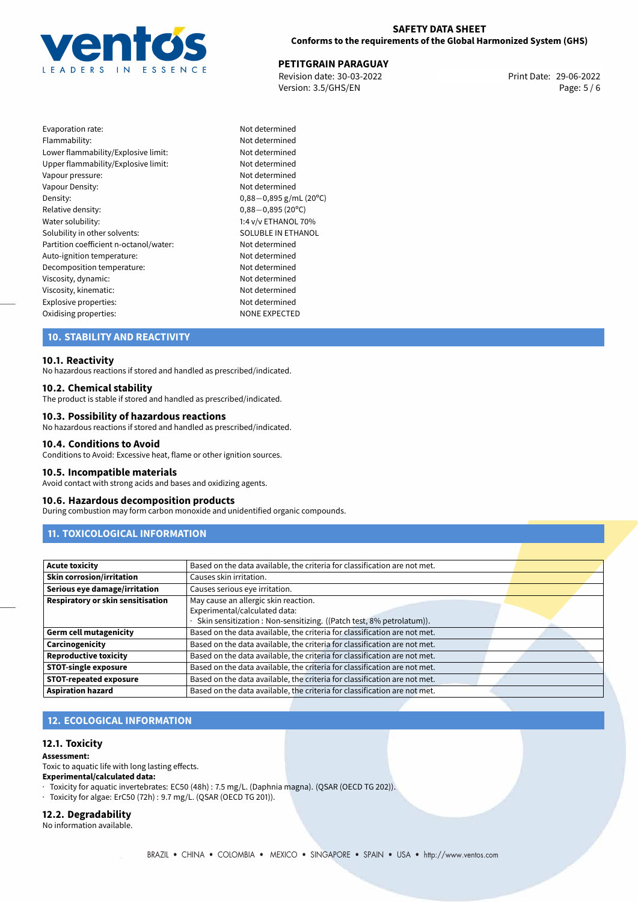

## **SAFETY DATA SHEET Conforms to the requirements of the Global Harmonized System (GHS)**

29-06-2022 **PETITGRAIN PARAGUAY** Revision date: 30-03-2022 Print Date: Version: 3.5/GHS/EN Page: 5 / 6

| Evaporation rate:                      |
|----------------------------------------|
| Flammability:                          |
| Lower flammability/Explosive limit:    |
| Upper flammability/Explosive limit:    |
| Vapour pressure:                       |
| Vapour Density:                        |
| Density:                               |
| Relative density:                      |
| Water solubility:                      |
| Solubility in other solvents:          |
| Partition coefficient n-octanol/water: |
| Auto-ignition temperature:             |
| Decomposition temperature:             |
| Viscosity, dynamic:                    |
| Viscosity, kinematic:                  |
| Explosive properties:                  |
| Oxidising properties:                  |

Not determined Not determined Not determined Not determined Not determined Not determined Density: 0,88*−*0,895 g/mL (20ºC) Relative density: 0,88*−*0,895 (20ºC) 1:4 v/v ETHANOL 70% SOLUBLE IN ETHANOL Not determined Not determined Not determined Not determined Not determined Not determined NONE EXPECTED

## **10. STABILITY AND REACTIVITY**

#### **10.1. Reactivity**

No hazardous reactions if stored and handled as prescribed/indicated.

### **10.2. Chemical stability**

The product is stable if stored and handled as prescribed/indicated.

#### **10.3. Possibility of hazardous reactions**

No hazardous reactions if stored and handled as prescribed/indicated.

#### **10.4. Conditions to Avoid**

Conditions to Avoid: Excessive heat, flame or other ignition sources.

#### **10.5. Incompatible materials**

Avoid contact with strong acids and bases and oxidizing agents.

#### **10.6. Hazardous decomposition products**

During combustion may form carbon monoxide and unidentified organic compounds.

## **11. TOXICOLOGICAL INFORMATION**

| Acute toxicity                    | Based on the data available, the criteria for classification are not met. |
|-----------------------------------|---------------------------------------------------------------------------|
| <b>Skin corrosion/irritation</b>  | Causes skin irritation.                                                   |
| Serious eye damage/irritation     | Causes serious eye irritation.                                            |
| Respiratory or skin sensitisation | May cause an allergic skin reaction.                                      |
|                                   | Experimental/calculated data:                                             |
|                                   | Skin sensitization : Non-sensitizing. ((Patch test, 8% petrolatum)).      |
| Germ cell mutagenicity            | Based on the data available, the criteria for classification are not met. |
| <b>Carcinogenicity</b>            | Based on the data available, the criteria for classification are not met. |
| Reproductive toxicity             | Based on the data available, the criteria for classification are not met. |
| STOT-single exposure              | Based on the data available, the criteria for classification are not met. |
| STOT-repeated exposure            | Based on the data available, the criteria for classification are not met. |
| Aspiration hazard                 | Based on the data available, the criteria for classification are not met. |

# **12. ECOLOGICAL INFORMATION**

#### **12.1. Toxicity**

#### **Assessment:**

Toxic to aquatic life with long lasting effects.

#### **Experimental/calculated data:**

- · Toxicity for aquatic invertebrates: EC50 (48h) : 7.5 mg/L. (Daphnia magna). (QSAR (OECD TG 202)).
- · Toxicity for algae: ErC50 (72h) : 9.7 mg/L. (QSAR (OECD TG 201)).

#### **12.2. Degradability**

No information available.